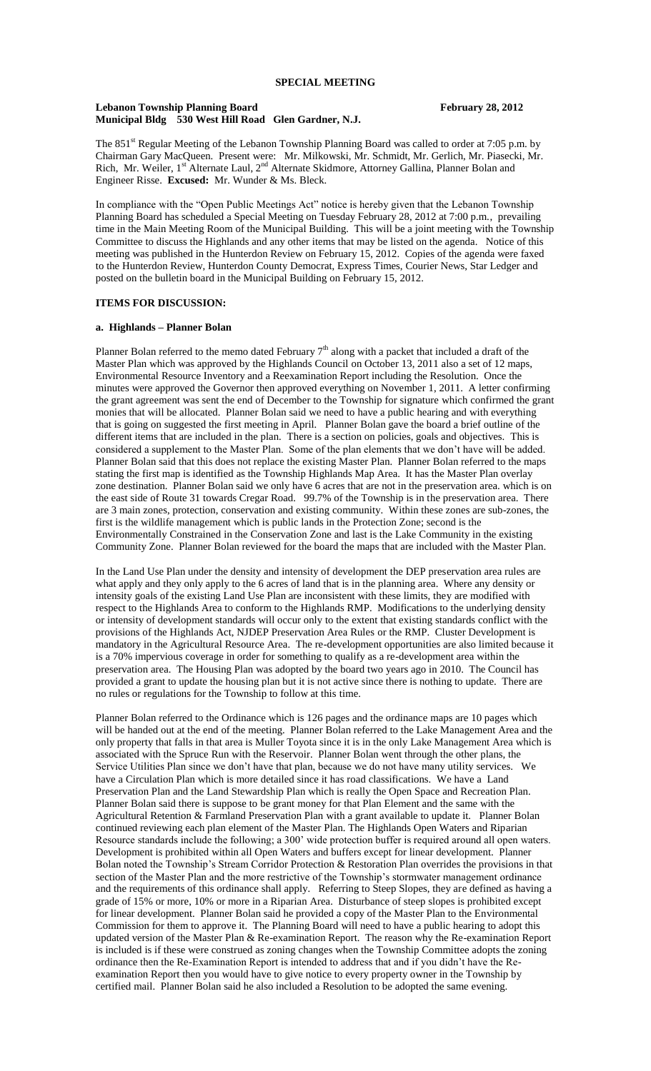#### Lebanon Township Planning Board<br>
February 28, 2012 **Municipal Bldg 530 West Hill Road Glen Gardner, N.J.**

The 851<sup>st</sup> Regular Meeting of the Lebanon Township Planning Board was called to order at 7:05 p.m. by Chairman Gary MacQueen. Present were: Mr. Milkowski, Mr. Schmidt, Mr. Gerlich, Mr. Piasecki, Mr. Rich, Mr. Weiler, 1<sup>st</sup> Alternate Laul, 2<sup>nd</sup> Alternate Skidmore, Attorney Gallina, Planner Bolan and Engineer Risse. **Excused:** Mr. Wunder & Ms. Bleck.

In compliance with the "Open Public Meetings Act" notice is hereby given that the Lebanon Township Planning Board has scheduled a Special Meeting on Tuesday February 28, 2012 at 7:00 p.m., prevailing time in the Main Meeting Room of the Municipal Building. This will be a joint meeting with the Township Committee to discuss the Highlands and any other items that may be listed on the agenda. Notice of this meeting was published in the Hunterdon Review on February 15, 2012. Copies of the agenda were faxed to the Hunterdon Review, Hunterdon County Democrat, Express Times, Courier News, Star Ledger and posted on the bulletin board in the Municipal Building on February 15, 2012.

### **ITEMS FOR DISCUSSION:**

#### **a. Highlands – Planner Bolan**

Planner Bolan referred to the memo dated February  $7<sup>th</sup>$  along with a packet that included a draft of the Master Plan which was approved by the Highlands Council on October 13, 2011 also a set of 12 maps, Environmental Resource Inventory and a Reexamination Report including the Resolution. Once the minutes were approved the Governor then approved everything on November 1, 2011. A letter confirming the grant agreement was sent the end of December to the Township for signature which confirmed the grant monies that will be allocated. Planner Bolan said we need to have a public hearing and with everything that is going on suggested the first meeting in April. Planner Bolan gave the board a brief outline of the different items that are included in the plan. There is a section on policies, goals and objectives. This is considered a supplement to the Master Plan. Some of the plan elements that we don't have will be added. Planner Bolan said that this does not replace the existing Master Plan. Planner Bolan referred to the maps stating the first map is identified as the Township Highlands Map Area. It has the Master Plan overlay zone destination. Planner Bolan said we only have 6 acres that are not in the preservation area. which is on the east side of Route 31 towards Cregar Road. 99.7% of the Township is in the preservation area. There are 3 main zones, protection, conservation and existing community. Within these zones are sub-zones, the first is the wildlife management which is public lands in the Protection Zone; second is the Environmentally Constrained in the Conservation Zone and last is the Lake Community in the existing Community Zone. Planner Bolan reviewed for the board the maps that are included with the Master Plan.

In the Land Use Plan under the density and intensity of development the DEP preservation area rules are what apply and they only apply to the 6 acres of land that is in the planning area. Where any density or intensity goals of the existing Land Use Plan are inconsistent with these limits, they are modified with respect to the Highlands Area to conform to the Highlands RMP. Modifications to the underlying density or intensity of development standards will occur only to the extent that existing standards conflict with the provisions of the Highlands Act, NJDEP Preservation Area Rules or the RMP. Cluster Development is mandatory in the Agricultural Resource Area. The re-development opportunities are also limited because it is a 70% impervious coverage in order for something to qualify as a re-development area within the preservation area. The Housing Plan was adopted by the board two years ago in 2010. The Council has provided a grant to update the housing plan but it is not active since there is nothing to update. There are no rules or regulations for the Township to follow at this time.

Planner Bolan referred to the Ordinance which is 126 pages and the ordinance maps are 10 pages which will be handed out at the end of the meeting. Planner Bolan referred to the Lake Management Area and the only property that falls in that area is Muller Toyota since it is in the only Lake Management Area which is associated with the Spruce Run with the Reservoir. Planner Bolan went through the other plans, the Service Utilities Plan since we don't have that plan, because we do not have many utility services. We have a Circulation Plan which is more detailed since it has road classifications. We have a Land Preservation Plan and the Land Stewardship Plan which is really the Open Space and Recreation Plan. Planner Bolan said there is suppose to be grant money for that Plan Element and the same with the Agricultural Retention & Farmland Preservation Plan with a grant available to update it. Planner Bolan continued reviewing each plan element of the Master Plan. The Highlands Open Waters and Riparian Resource standards include the following; a 300' wide protection buffer is required around all open waters. Development is prohibited within all Open Waters and buffers except for linear development. Planner Bolan noted the Township's Stream Corridor Protection & Restoration Plan overrides the provisions in that section of the Master Plan and the more restrictive of the Township's stormwater management ordinance and the requirements of this ordinance shall apply. Referring to Steep Slopes, they are defined as having a grade of 15% or more, 10% or more in a Riparian Area. Disturbance of steep slopes is prohibited except for linear development. Planner Bolan said he provided a copy of the Master Plan to the Environmental Commission for them to approve it. The Planning Board will need to have a public hearing to adopt this updated version of the Master Plan & Re-examination Report. The reason why the Re-examination Report is included is if these were construed as zoning changes when the Township Committee adopts the zoning ordinance then the Re-Examination Report is intended to address that and if you didn't have the Reexamination Report then you would have to give notice to every property owner in the Township by certified mail. Planner Bolan said he also included a Resolution to be adopted the same evening.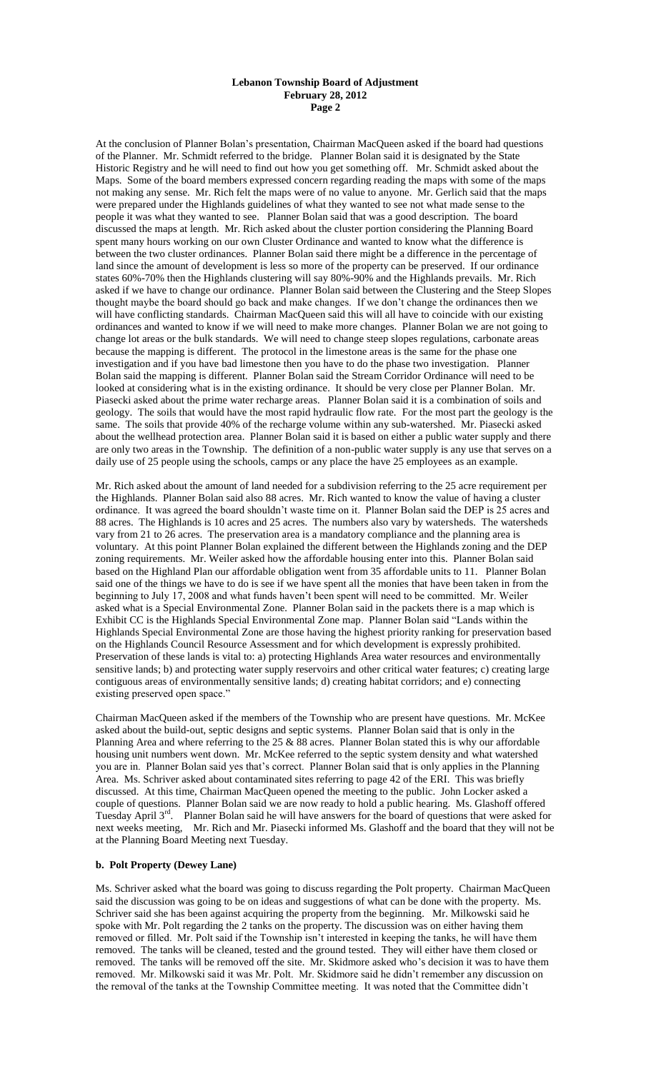### **Lebanon Township Board of Adjustment February 28, 2012 Page 2**

At the conclusion of Planner Bolan's presentation, Chairman MacQueen asked if the board had questions of the Planner. Mr. Schmidt referred to the bridge. Planner Bolan said it is designated by the State Historic Registry and he will need to find out how you get something off. Mr. Schmidt asked about the Maps. Some of the board members expressed concern regarding reading the maps with some of the maps not making any sense. Mr. Rich felt the maps were of no value to anyone. Mr. Gerlich said that the maps were prepared under the Highlands guidelines of what they wanted to see not what made sense to the people it was what they wanted to see. Planner Bolan said that was a good description. The board discussed the maps at length. Mr. Rich asked about the cluster portion considering the Planning Board spent many hours working on our own Cluster Ordinance and wanted to know what the difference is between the two cluster ordinances. Planner Bolan said there might be a difference in the percentage of land since the amount of development is less so more of the property can be preserved. If our ordinance states 60%-70% then the Highlands clustering will say 80%-90% and the Highlands prevails. Mr. Rich asked if we have to change our ordinance. Planner Bolan said between the Clustering and the Steep Slopes thought maybe the board should go back and make changes. If we don't change the ordinances then we will have conflicting standards. Chairman MacQueen said this will all have to coincide with our existing ordinances and wanted to know if we will need to make more changes. Planner Bolan we are not going to change lot areas or the bulk standards. We will need to change steep slopes regulations, carbonate areas because the mapping is different. The protocol in the limestone areas is the same for the phase one investigation and if you have bad limestone then you have to do the phase two investigation. Planner Bolan said the mapping is different. Planner Bolan said the Stream Corridor Ordinance will need to be looked at considering what is in the existing ordinance. It should be very close per Planner Bolan. Mr. Piasecki asked about the prime water recharge areas. Planner Bolan said it is a combination of soils and geology. The soils that would have the most rapid hydraulic flow rate. For the most part the geology is the same. The soils that provide 40% of the recharge volume within any sub-watershed. Mr. Piasecki asked about the wellhead protection area. Planner Bolan said it is based on either a public water supply and there are only two areas in the Township. The definition of a non-public water supply is any use that serves on a daily use of 25 people using the schools, camps or any place the have 25 employees as an example.

Mr. Rich asked about the amount of land needed for a subdivision referring to the 25 acre requirement per the Highlands. Planner Bolan said also 88 acres. Mr. Rich wanted to know the value of having a cluster ordinance. It was agreed the board shouldn't waste time on it. Planner Bolan said the DEP is 25 acres and 88 acres. The Highlands is 10 acres and 25 acres. The numbers also vary by watersheds. The watersheds vary from 21 to 26 acres. The preservation area is a mandatory compliance and the planning area is voluntary. At this point Planner Bolan explained the different between the Highlands zoning and the DEP zoning requirements. Mr. Weiler asked how the affordable housing enter into this. Planner Bolan said based on the Highland Plan our affordable obligation went from 35 affordable units to 11. Planner Bolan said one of the things we have to do is see if we have spent all the monies that have been taken in from the beginning to July 17, 2008 and what funds haven't been spent will need to be committed. Mr. Weiler asked what is a Special Environmental Zone. Planner Bolan said in the packets there is a map which is Exhibit CC is the Highlands Special Environmental Zone map. Planner Bolan said "Lands within the Highlands Special Environmental Zone are those having the highest priority ranking for preservation based on the Highlands Council Resource Assessment and for which development is expressly prohibited. Preservation of these lands is vital to: a) protecting Highlands Area water resources and environmentally sensitive lands; b) and protecting water supply reservoirs and other critical water features; c) creating large contiguous areas of environmentally sensitive lands; d) creating habitat corridors; and e) connecting existing preserved open space."

Chairman MacQueen asked if the members of the Township who are present have questions. Mr. McKee asked about the build-out, septic designs and septic systems. Planner Bolan said that is only in the Planning Area and where referring to the 25 & 88 acres. Planner Bolan stated this is why our affordable housing unit numbers went down. Mr. McKee referred to the septic system density and what watershed you are in. Planner Bolan said yes that's correct. Planner Bolan said that is only applies in the Planning Area. Ms. Schriver asked about contaminated sites referring to page 42 of the ERI. This was briefly discussed. At this time, Chairman MacQueen opened the meeting to the public. John Locker asked a couple of questions. Planner Bolan said we are now ready to hold a public hearing. Ms. Glashoff offered Tuesday April 3<sup>rd</sup>. Planner Bolan said he will have answers for the board of questions that were asked for next weeks meeting, Mr. Rich and Mr. Piasecki informed Ms. Glashoff and the board that they will not be at the Planning Board Meeting next Tuesday.

# **b. Polt Property (Dewey Lane)**

Ms. Schriver asked what the board was going to discuss regarding the Polt property. Chairman MacQueen said the discussion was going to be on ideas and suggestions of what can be done with the property. Ms. Schriver said she has been against acquiring the property from the beginning. Mr. Milkowski said he spoke with Mr. Polt regarding the 2 tanks on the property. The discussion was on either having them removed or filled. Mr. Polt said if the Township isn't interested in keeping the tanks, he will have them removed. The tanks will be cleaned, tested and the ground tested. They will either have them closed or removed. The tanks will be removed off the site. Mr. Skidmore asked who's decision it was to have them removed. Mr. Milkowski said it was Mr. Polt. Mr. Skidmore said he didn't remember any discussion on the removal of the tanks at the Township Committee meeting. It was noted that the Committee didn't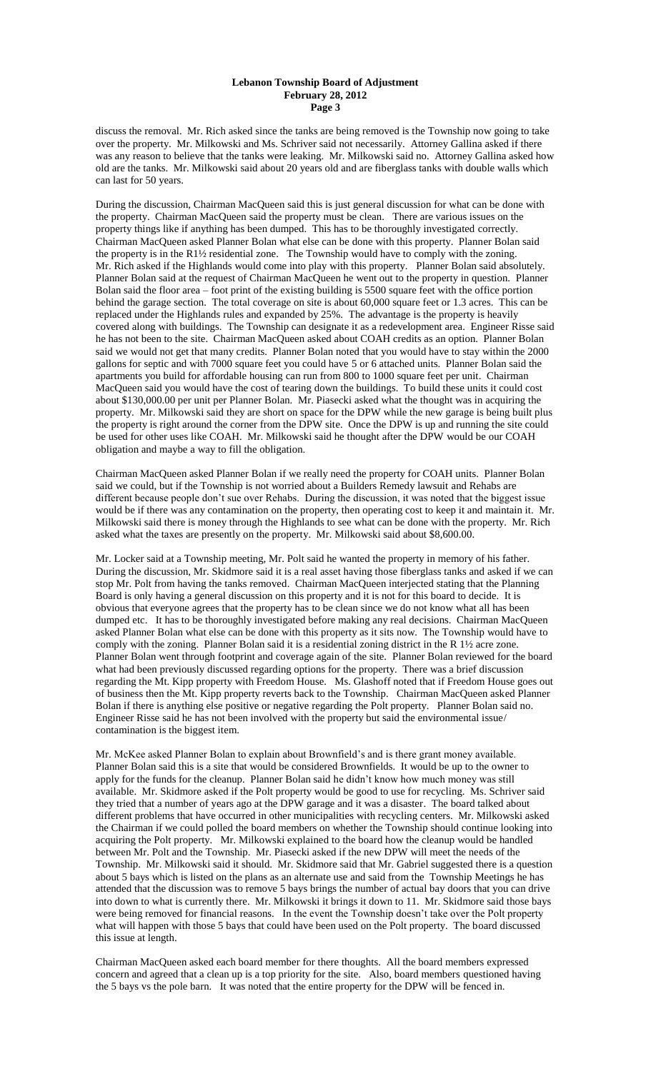### **Lebanon Township Board of Adjustment February 28, 2012 Page 3**

discuss the removal. Mr. Rich asked since the tanks are being removed is the Township now going to take over the property. Mr. Milkowski and Ms. Schriver said not necessarily. Attorney Gallina asked if there was any reason to believe that the tanks were leaking. Mr. Milkowski said no. Attorney Gallina asked how old are the tanks. Mr. Milkowski said about 20 years old and are fiberglass tanks with double walls which can last for 50 years.

During the discussion, Chairman MacQueen said this is just general discussion for what can be done with the property. Chairman MacQueen said the property must be clean. There are various issues on the property things like if anything has been dumped. This has to be thoroughly investigated correctly. Chairman MacQueen asked Planner Bolan what else can be done with this property. Planner Bolan said the property is in the R1½ residential zone. The Township would have to comply with the zoning. Mr. Rich asked if the Highlands would come into play with this property. Planner Bolan said absolutely. Planner Bolan said at the request of Chairman MacQueen he went out to the property in question. Planner Bolan said the floor area – foot print of the existing building is 5500 square feet with the office portion behind the garage section. The total coverage on site is about 60,000 square feet or 1.3 acres. This can be replaced under the Highlands rules and expanded by 25%. The advantage is the property is heavily covered along with buildings. The Township can designate it as a redevelopment area. Engineer Risse said he has not been to the site. Chairman MacQueen asked about COAH credits as an option. Planner Bolan said we would not get that many credits. Planner Bolan noted that you would have to stay within the 2000 gallons for septic and with 7000 square feet you could have 5 or 6 attached units. Planner Bolan said the apartments you build for affordable housing can run from 800 to 1000 square feet per unit. Chairman MacQueen said you would have the cost of tearing down the buildings. To build these units it could cost about \$130,000.00 per unit per Planner Bolan. Mr. Piasecki asked what the thought was in acquiring the property. Mr. Milkowski said they are short on space for the DPW while the new garage is being built plus the property is right around the corner from the DPW site. Once the DPW is up and running the site could be used for other uses like COAH. Mr. Milkowski said he thought after the DPW would be our COAH obligation and maybe a way to fill the obligation.

Chairman MacQueen asked Planner Bolan if we really need the property for COAH units. Planner Bolan said we could, but if the Township is not worried about a Builders Remedy lawsuit and Rehabs are different because people don't sue over Rehabs. During the discussion, it was noted that the biggest issue would be if there was any contamination on the property, then operating cost to keep it and maintain it. Mr. Milkowski said there is money through the Highlands to see what can be done with the property. Mr. Rich asked what the taxes are presently on the property. Mr. Milkowski said about \$8,600.00.

Mr. Locker said at a Township meeting, Mr. Polt said he wanted the property in memory of his father. During the discussion, Mr. Skidmore said it is a real asset having those fiberglass tanks and asked if we can stop Mr. Polt from having the tanks removed. Chairman MacQueen interjected stating that the Planning Board is only having a general discussion on this property and it is not for this board to decide. It is obvious that everyone agrees that the property has to be clean since we do not know what all has been dumped etc. It has to be thoroughly investigated before making any real decisions. Chairman MacQueen asked Planner Bolan what else can be done with this property as it sits now. The Township would have to comply with the zoning. Planner Bolan said it is a residential zoning district in the R 1½ acre zone. Planner Bolan went through footprint and coverage again of the site. Planner Bolan reviewed for the board what had been previously discussed regarding options for the property. There was a brief discussion regarding the Mt. Kipp property with Freedom House. Ms. Glashoff noted that if Freedom House goes out of business then the Mt. Kipp property reverts back to the Township. Chairman MacQueen asked Planner Bolan if there is anything else positive or negative regarding the Polt property. Planner Bolan said no. Engineer Risse said he has not been involved with the property but said the environmental issue/ contamination is the biggest item.

Mr. McKee asked Planner Bolan to explain about Brownfield's and is there grant money available. Planner Bolan said this is a site that would be considered Brownfields. It would be up to the owner to apply for the funds for the cleanup. Planner Bolan said he didn't know how much money was still available. Mr. Skidmore asked if the Polt property would be good to use for recycling. Ms. Schriver said they tried that a number of years ago at the DPW garage and it was a disaster. The board talked about different problems that have occurred in other municipalities with recycling centers. Mr. Milkowski asked the Chairman if we could polled the board members on whether the Township should continue looking into acquiring the Polt property. Mr. Milkowski explained to the board how the cleanup would be handled between Mr. Polt and the Township. Mr. Piasecki asked if the new DPW will meet the needs of the Township. Mr. Milkowski said it should. Mr. Skidmore said that Mr. Gabriel suggested there is a question about 5 bays which is listed on the plans as an alternate use and said from the Township Meetings he has attended that the discussion was to remove 5 bays brings the number of actual bay doors that you can drive into down to what is currently there. Mr. Milkowski it brings it down to 11. Mr. Skidmore said those bays were being removed for financial reasons. In the event the Township doesn't take over the Polt property what will happen with those 5 bays that could have been used on the Polt property. The board discussed this issue at length.

Chairman MacQueen asked each board member for there thoughts. All the board members expressed concern and agreed that a clean up is a top priority for the site. Also, board members questioned having the 5 bays vs the pole barn. It was noted that the entire property for the DPW will be fenced in.